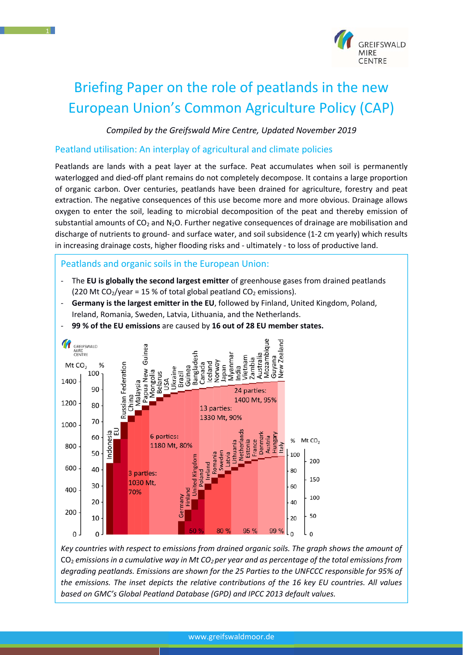

# Briefing Paper on the role of peatlands in the new European Union's Common Agriculture Policy (CAP)

*Compiled by the Greifswald Mire Centre, Updated November 2019*

#### Peatland utilisation: An interplay of agricultural and climate policies

Peatlands are lands with a peat layer at the surface. Peat accumulates when soil is permanently waterlogged and died-off plant remains do not completely decompose. It contains a large proportion of organic carbon. Over centuries, peatlands have been drained for agriculture, forestry and peat extraction. The negative consequences of this use become more and more obvious. Drainage allows oxygen to enter the soil, leading to microbial decomposition of the peat and thereby emission of substantial amounts of  $CO<sub>2</sub>$  and N<sub>2</sub>O. Further negative consequences of drainage are mobilisation and discharge of nutrients to ground‐ and surface water, and soil subsidence (1‐2 cm yearly) which results in increasing drainage costs, higher flooding risks and ‐ ultimately ‐ to loss of productive land.

Peatlands and organic soils in the European Union:

- ‐ The **EU is globally the second largest emitter** of greenhouse gases from drained peatlands (220 Mt CO<sub>2</sub>/year = 15 % of total global peatland CO<sub>2</sub> emissions).
- ‐ **Germany is the largest emitter in the EU**, followed by Finland, United Kingdom, Poland, Ireland, Romania, Sweden, Latvia, Lithuania, and the Netherlands.
- ‐ **99 % of the EU emissions** are caused by **16 out of 28 EU member states.**



*Key countries with respect to emissions from drained organic soils. The graph shows the amount of*  CO2 *emissions in a cumulative way in Mt CO2 per year and as percentage of the total emissions from degrading peatlands. Emissions are shown for the 25 Parties to the UNFCCC responsible for 95% of the emissions. The inset depicts the relative contributions of the 16 key EU countries. All values based on GMC's Global Peatland Database (GPD) and IPCC 2013 default values.*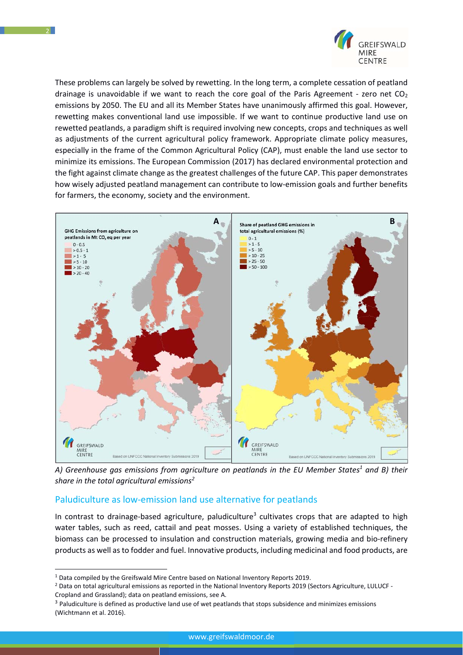

These problems can largely be solved by rewetting. In the long term, a complete cessation of peatland drainage is unavoidable if we want to reach the core goal of the Paris Agreement - zero net  $CO<sub>2</sub>$ emissions by 2050. The EU and all its Member States have unanimously affirmed this goal. However, rewetting makes conventional land use impossible. If we want to continue productive land use on rewetted peatlands, a paradigm shift is required involving new concepts, crops and techniques as well as adjustments of the current agricultural policy framework. Appropriate climate policy measures, especially in the frame of the Common Agricultural Policy (CAP), must enable the land use sector to minimize its emissions. The European Commission (2017) has declared environmental protection and the fight against climate change as the greatest challenges of the future CAP. This paper demonstrates how wisely adjusted peatland management can contribute to low-emission goals and further benefits for farmers, the economy, society and the environment.



A) Greenhouse gas emissions from agriculture on peatlands in the EU Member States<sup>1</sup> and B) their  $s$ hare in the total agricultural emissions $^2$ 

# Paludiculture as low‐emission land use alternative for peatlands

In contrast to drainage-based agriculture, paludiculture<sup>3</sup> cultivates crops that are adapted to high water tables, such as reed, cattail and peat mosses. Using a variety of established techniques, the biomass can be processed to insulation and construction materials, growing media and bio‐refinery products as well as to fodder and fuel. Innovative products, including medicinal and food products, are

<sup>&</sup>lt;sup>1</sup> Data compiled by the Greifswald Mire Centre based on National Inventory Reports 2019.

<sup>2</sup> Data on total agricultural emissions as reported in the National Inventory Reports 2019 (Sectors Agriculture, LULUCF ‐ Cropland and Grassland); data on peatland emissions, see A.

<sup>&</sup>lt;sup>3</sup> Paludiculture is defined as productive land use of wet peatlands that stops subsidence and minimizes emissions (Wichtmann et al. 2016).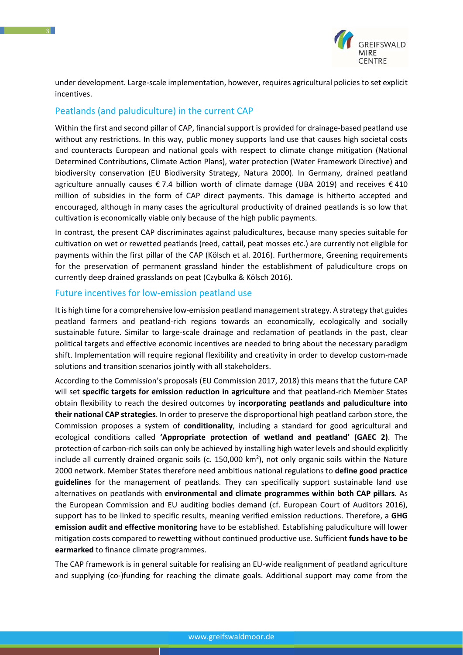

under development. Large‐scale implementation, however, requires agricultural policies to set explicit incentives.

## Peatlands (and paludiculture) in the current CAP

Within the first and second pillar of CAP, financial support is provided for drainage-based peatland use without any restrictions. In this way, public money supports land use that causes high societal costs and counteracts European and national goals with respect to climate change mitigation (National Determined Contributions, Climate Action Plans), water protection (Water Framework Directive) and biodiversity conservation (EU Biodiversity Strategy, Natura 2000). In Germany, drained peatland agriculture annually causes  $\epsilon$  7.4 billion worth of climate damage (UBA 2019) and receives  $\epsilon$  410 million of subsidies in the form of CAP direct payments. This damage is hitherto accepted and encouraged, although in many cases the agricultural productivity of drained peatlands is so low that cultivation is economically viable only because of the high public payments.

In contrast, the present CAP discriminates against paludicultures, because many species suitable for cultivation on wet or rewetted peatlands (reed, cattail, peat mosses etc.) are currently not eligible for payments within the first pillar of the CAP (Kölsch et al. 2016). Furthermore, Greening requirements for the preservation of permanent grassland hinder the establishment of paludiculture crops on currently deep drained grasslands on peat (Czybulka & Kölsch 2016).

#### Future incentives for low-emission peatland use

It is high time for a comprehensive low‐emission peatland management strategy. A strategy that guides peatland farmers and peatland‐rich regions towards an economically, ecologically and socially sustainable future. Similar to large‐scale drainage and reclamation of peatlands in the past, clear political targets and effective economic incentives are needed to bring about the necessary paradigm shift. Implementation will require regional flexibility and creativity in order to develop custom-made solutions and transition scenarios jointly with all stakeholders.

According to the Commission's proposals (EU Commission 2017, 2018) this means that the future CAP will set **specific targets for emission reduction in agriculture** and that peatland‐rich Member States obtain flexibility to reach the desired outcomes by **incorporating peatlands and paludiculture into their national CAP strategies**. In order to preserve the disproportional high peatland carbon store, the Commission proposes a system of **conditionality**, including a standard for good agricultural and ecological conditions called **'Appropriate protection of wetland and peatland' (GAEC 2)**. The protection of carbon‐rich soils can only be achieved by installing high water levels and should explicitly include all currently drained organic soils (c. 150,000 km<sup>2</sup>), not only organic soils within the Nature 2000 network. Member States therefore need ambitious national regulations to **define good practice guidelines** for the management of peatlands. They can specifically support sustainable land use alternatives on peatlands with **environmental and climate programmes within both CAP pillars**. As the European Commission and EU auditing bodies demand (cf. European Court of Auditors 2016), support has to be linked to specific results, meaning verified emission reductions. Therefore, a **GHG emission audit and effective monitoring** have to be established. Establishing paludiculture will lower mitigation costs compared to rewetting without continued productive use. Sufficient **funds have to be earmarked** to finance climate programmes.

The CAP framework is in general suitable for realising an EU‐wide realignment of peatland agriculture and supplying (co-)funding for reaching the climate goals. Additional support may come from the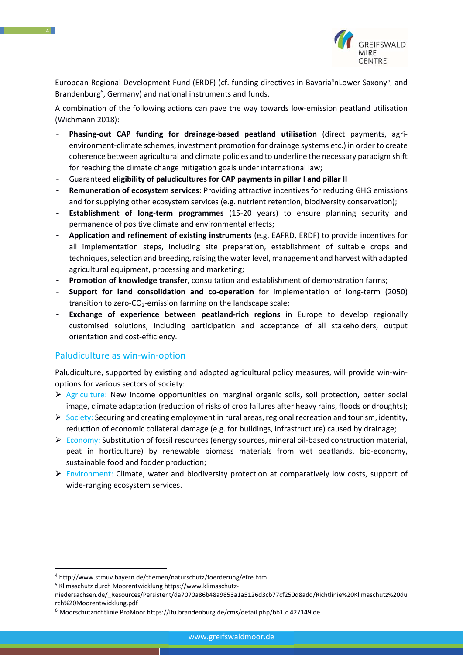

European Regional Development Fund (ERDF) (cf. funding directives in Bavaria<sup>4</sup>nLower Saxony<sup>5</sup>, and Brandenburg<sup>6</sup>, Germany) and national instruments and funds.

A combination of the following actions can pave the way towards low-emission peatland utilisation (Wichmann 2018):

- **Phasing‐out CAP funding for drainage‐based peatland utilisation** (direct payments, agri‐ environment‐climate schemes, investment promotion for drainage systems etc.) in order to create coherence between agricultural and climate policies and to underline the necessary paradigm shift for reaching the climate change mitigation goals under international law;
- Guaranteed **eligibility of paludicultures for CAP payments in pillar I and pillar II**
- **Remuneration of ecosystem services**: Providing attractive incentives for reducing GHG emissions and for supplying other ecosystem services (e.g. nutrient retention, biodiversity conservation);
- **Establishment of long‐term programmes** (15‐20 years) to ensure planning security and permanence of positive climate and environmental effects;
- **Application and refinement of existing instruments** (e.g. EAFRD, ERDF) to provide incentives for all implementation steps, including site preparation, establishment of suitable crops and techniques, selection and breeding, raising the water level, management and harvest with adapted agricultural equipment, processing and marketing;
- **Promotion of knowledge transfer**, consultation and establishment of demonstration farms;
- **Support for land consolidation and co‐operation** for implementation of long‐term (2050) transition to zero-CO<sub>2</sub>-emission farming on the landscape scale:
- **Exchange of experience between peatland‐rich regions** in Europe to develop regionally customised solutions, including participation and acceptance of all stakeholders, output orientation and cost‐efficiency.

#### Paludiculture as win‐win‐option

Paludiculture, supported by existing and adapted agricultural policy measures, will provide win‐win‐ options for various sectors of society:

- $\triangleright$  Agriculture: New income opportunities on marginal organic soils, soil protection, better social image, climate adaptation (reduction of risks of crop failures after heavy rains, floods or droughts);
- $\triangleright$  Society: Securing and creating employment in rural areas, regional recreation and tourism, identity, reduction of economic collateral damage (e.g. for buildings, infrastructure) caused by drainage;
- Economy: Substitution of fossil resources (energy sources, mineral oil‐based construction material, peat in horticulture) by renewable biomass materials from wet peatlands, bio‐economy, sustainable food and fodder production;
- $\triangleright$  Environment: Climate, water and biodiversity protection at comparatively low costs, support of wide-ranging ecosystem services.

5 Klimaschutz durch Moorentwicklung https://www.klimaschutz‐

<sup>4</sup> http://www.stmuv.bayern.de/themen/naturschutz/foerderung/efre.htm

niedersachsen.de/\_Resources/Persistent/da7070a86b48a9853a1a5126d3cb77cf250d8add/Richtlinie%20Klimaschutz%20du rch%20Moorentwicklung.pdf

<sup>6</sup> Moorschutzrichtlinie ProMoor https://lfu.brandenburg.de/cms/detail.php/bb1.c.427149.de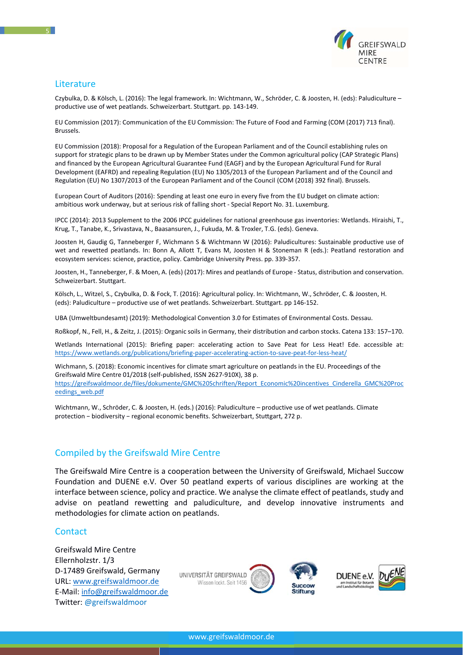

## Literature

Czybulka, D. & Kölsch, L. (2016): The legal framework. In: Wichtmann, W., Schröder, C. & Joosten, H. (eds): Paludiculture – productive use of wet peatlands. Schweizerbart. Stuttgart. pp. 143‐149.

EU Commission (2017): Communication of the EU Commission: The Future of Food and Farming (COM (2017) 713 final). Brussels.

EU Commission (2018): Proposal for a Regulation of the European Parliament and of the Council establishing rules on support for strategic plans to be drawn up by Member States under the Common agricultural policy (CAP Strategic Plans) and financed by the European Agricultural Guarantee Fund (EAGF) and by the European Agricultural Fund for Rural Development (EAFRD) and repealing Regulation (EU) No 1305/2013 of the European Parliament and of the Council and Regulation (EU) No 1307/2013 of the European Parliament and of the Council (COM (2018) 392 final). Brussels.

European Court of Auditors (2016): Spending at least one euro in every five from the EU budget on climate action: ambitious work underway, but at serious risk of falling short ‐ Special Report No. 31. Luxemburg.

IPCC (2014): 2013 Supplement to the 2006 IPCC guidelines for national greenhouse gas inventories: Wetlands. Hiraishi, T., Krug, T., Tanabe, K., Srivastava, N., Baasansuren, J., Fukuda, M. & Troxler, T.G. (eds). Geneva.

Joosten H, Gaudig G, Tanneberger F, Wichmann S & Wichtmann W (2016): Paludicultures: Sustainable productive use of wet and rewetted peatlands. In: Bonn A, Allott T, Evans M, Joosten H & Stoneman R (eds.): Peatland restoration and ecosystem services: science, practice, policy. Cambridge University Press. pp. 339‐357.

Joosten, H., Tanneberger, F. & Moen, A. (eds) (2017): Mires and peatlands of Europe - Status, distribution and conservation. Schweizerbart. Stuttgart.

Kölsch, L., Witzel, S., Czybulka, D. & Fock, T. (2016): Agricultural policy. In: Wichtmann, W., Schröder, C. & Joosten, H. (eds): Paludiculture – productive use of wet peatlands. Schweizerbart. Stuttgart. pp 146‐152.

UBA (Umweltbundesamt) (2019): Methodological Convention 3.0 for Estimates of Environmental Costs. Dessau.

Roßkopf, N., Fell, H., & Zeitz, J. (2015): Organic soils in Germany, their distribution and carbon stocks. Catena 133: 157–170.

Wetlands International (2015): Briefing paper: accelerating action to Save Peat for Less Heat! Ede. accessible at: https://www.wetlands.org/publications/briefing-paper-accelerating-action-to-save-peat-for-less-heat/

Wichmann, S. (2018): Economic incentives for climate smart agriculture on peatlands in the EU. Proceedings of the Greifswald Mire Centre 01/2018 (self‐published, ISSN 2627‐910X), 38 p. https://greifswaldmoor.de/files/dokumente/GMC%20Schriften/Report\_Economic%20incentives\_Cinderella\_GMC%20Proc eedings\_web.pdf

Wichtmann, W., Schröder, C. & Joosten, H. (eds.) (2016): Paludiculture – productive use of wet peatlands. Climate protection − biodiversity − regional economic benefits. Schweizerbart, Stuttgart, 272 p.

# Compiled by the Greifswald Mire Centre

The Greifswald Mire Centre is a cooperation between the University of Greifswald, Michael Succow Foundation and DUENE e.V. Over 50 peatland experts of various disciplines are working at the interface between science, policy and practice. We analyse the climate effect of peatlands, study and advise on peatland rewetting and paludiculture, and develop innovative instruments and methodologies for climate action on peatlands.

### **Contact**

Greifswald Mire Centre Ellernholzstr. 1/3 D‐17489 Greifswald, Germany URL: www.greifswaldmoor.de E‐Mail: info@greifswaldmoor.de Twitter: @greifswaldmoor

UNIVERSITÄT GREIFSWALD Wissen lockt. Seit 1456